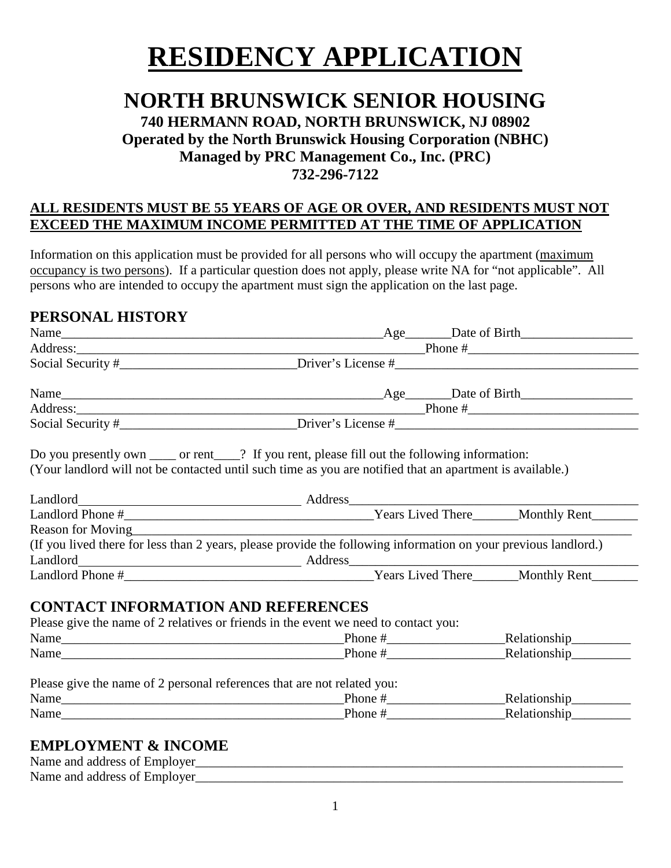# **RESIDENCY APPLICATION**

## **NORTH BRUNSWICK SENIOR HOUSING 740 HERMANN ROAD, NORTH BRUNSWICK, NJ 08902 Operated by the North Brunswick Housing Corporation (NBHC) Managed by PRC Management Co., Inc. (PRC) 732-296-7122**

#### **ALL RESIDENTS MUST BE 55 YEARS OF AGE OR OVER, AND RESIDENTS MUST NOT EXCEED THE MAXIMUM INCOME PERMITTED AT THE TIME OF APPLICATION**

Information on this application must be provided for all persons who will occupy the apartment (maximum occupancy is two persons). If a particular question does not apply, please write NA for "not applicable". All persons who are intended to occupy the apartment must sign the application on the last page.

### **PERSONAL HISTORY**

Name and address of Employer\_

|                                                                         | Do you presently own _____ or rent____? If you rent, please fill out the following information:                 |  |
|-------------------------------------------------------------------------|-----------------------------------------------------------------------------------------------------------------|--|
|                                                                         | (Your landlord will not be contacted until such time as you are notified that an apartment is available.)       |  |
|                                                                         |                                                                                                                 |  |
|                                                                         |                                                                                                                 |  |
| Reason for Moving<br><u>Example 2014</u>                                |                                                                                                                 |  |
|                                                                         | (If you lived there for less than 2 years, please provide the following information on your previous landlord.) |  |
|                                                                         |                                                                                                                 |  |
|                                                                         |                                                                                                                 |  |
| <b>CONTACT INFORMATION AND REFERENCES</b>                               |                                                                                                                 |  |
|                                                                         | Please give the name of 2 relatives or friends in the event we need to contact you:                             |  |
|                                                                         |                                                                                                                 |  |
|                                                                         |                                                                                                                 |  |
| Please give the name of 2 personal references that are not related you: |                                                                                                                 |  |
|                                                                         |                                                                                                                 |  |
|                                                                         |                                                                                                                 |  |
|                                                                         |                                                                                                                 |  |
| <b>EMPLOYMENT &amp; INCOME</b>                                          |                                                                                                                 |  |
| Name and address of Employer                                            |                                                                                                                 |  |

1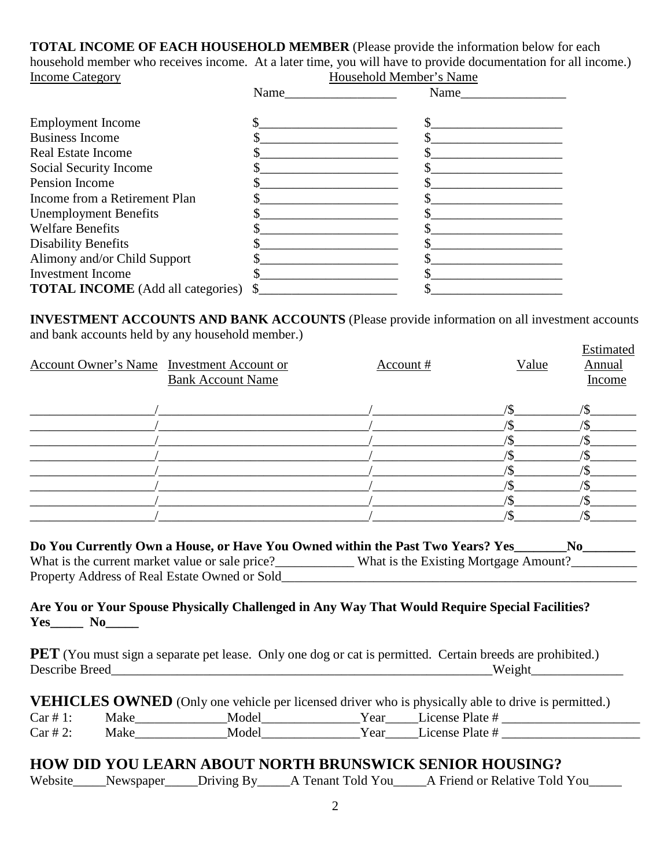**TOTAL INCOME OF EACH HOUSEHOLD MEMBER** (Please provide the information below for each household member who receives income. At a later time, you will have to provide documentation for all income.) Income Category Household Member's Name

|                                          | Name | Name |
|------------------------------------------|------|------|
| <b>Employment Income</b>                 |      |      |
| <b>Business Income</b>                   |      |      |
| <b>Real Estate Income</b>                |      |      |
| Social Security Income                   |      |      |
| Pension Income                           |      |      |
| Income from a Retirement Plan            |      |      |
| <b>Unemployment Benefits</b>             |      |      |
| <b>Welfare Benefits</b>                  |      |      |
| <b>Disability Benefits</b>               |      |      |
| Alimony and/or Child Support             |      |      |
| <b>Investment</b> Income                 |      |      |
| <b>TOTAL INCOME</b> (Add all categories) |      |      |

**INVESTMENT ACCOUNTS AND BANK ACCOUNTS** (Please provide information on all investment accounts and bank accounts held by any household member.) Estimated

| <b>Account Owner's Name</b> Investment Account or | <b>Bank Account Name</b> | Account# | Value | Estimated<br>Annual<br>Income |
|---------------------------------------------------|--------------------------|----------|-------|-------------------------------|
|                                                   |                          |          |       |                               |
|                                                   |                          |          |       |                               |
|                                                   |                          |          |       |                               |
|                                                   |                          |          |       |                               |
|                                                   |                          |          |       |                               |
|                                                   |                          |          |       |                               |
|                                                   |                          |          |       |                               |
|                                                   |                          |          |       |                               |

| Do You Currently Own a House, or Have You Owned within the Past Two Years? Yes_ |                                       |  |
|---------------------------------------------------------------------------------|---------------------------------------|--|
| What is the current market value or sale price?                                 | What is the Existing Mortgage Amount? |  |
| Property Address of Real Estate Owned or Sold                                   |                                       |  |

#### **Are You or Your Spouse Physically Challenged in Any Way That Would Require Special Facilities? Yes\_\_\_\_\_ No\_\_\_\_\_**

**PET** (You must sign a separate pet lease. Only one dog or cat is permitted. Certain breeds are prohibited.) Describe Breed\_\_\_\_\_\_\_\_\_\_\_\_\_\_\_\_\_\_\_\_\_\_\_\_\_\_\_\_\_\_\_\_\_\_\_\_\_\_\_\_\_\_\_\_\_\_\_\_\_\_\_\_\_\_\_\_\_\_Weight\_\_\_\_\_\_\_\_\_\_\_\_\_\_

| <b>VEHICLES OWNED</b> (Only one vehicle per licensed driver who is physically able to drive is permitted.) |      |       |      |                 |  |
|------------------------------------------------------------------------------------------------------------|------|-------|------|-----------------|--|
| Car#1:                                                                                                     | Make | Model | Year | License Plate # |  |
| $Car \# 2:$                                                                                                | Make | Model | Year | License Plate # |  |

#### **HOW DID YOU LEARN ABOUT NORTH BRUNSWICK SENIOR HOUSING?**

Website\_\_\_\_\_Newspaper\_\_\_\_\_Driving By\_\_\_\_\_A Tenant Told You\_\_\_\_\_A Friend or Relative Told You\_\_\_\_\_